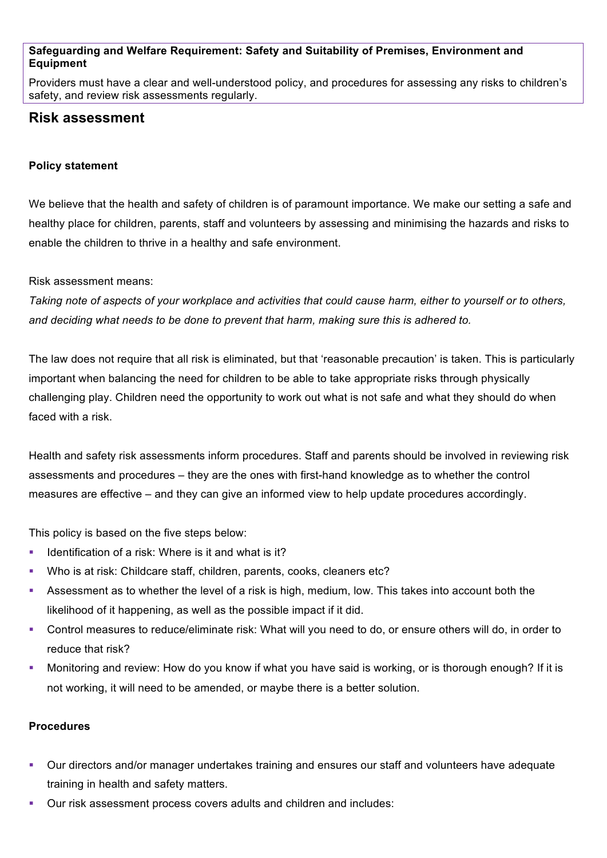#### **Safeguarding and Welfare Requirement: Safety and Suitability of Premises, Environment and Equipment**

Providers must have a clear and well-understood policy, and procedures for assessing any risks to children's safety, and review risk assessments regularly.

# **Risk assessment**

#### **Policy statement**

We believe that the health and safety of children is of paramount importance. We make our setting a safe and healthy place for children, parents, staff and volunteers by assessing and minimising the hazards and risks to enable the children to thrive in a healthy and safe environment.

#### Risk assessment means:

*Taking note of aspects of your workplace and activities that could cause harm, either to yourself or to others, and deciding what needs to be done to prevent that harm, making sure this is adhered to.*

The law does not require that all risk is eliminated, but that 'reasonable precaution' is taken. This is particularly important when balancing the need for children to be able to take appropriate risks through physically challenging play. Children need the opportunity to work out what is not safe and what they should do when faced with a risk.

Health and safety risk assessments inform procedures. Staff and parents should be involved in reviewing risk assessments and procedures – they are the ones with first-hand knowledge as to whether the control measures are effective – and they can give an informed view to help update procedures accordingly.

This policy is based on the five steps below:

- § Identification of a risk: Where is it and what is it?
- § Who is at risk: Childcare staff, children, parents, cooks, cleaners etc?
- **•** Assessment as to whether the level of a risk is high, medium, low. This takes into account both the likelihood of it happening, as well as the possible impact if it did.
- § Control measures to reduce/eliminate risk: What will you need to do, or ensure others will do, in order to reduce that risk?
- Monitoring and review: How do you know if what you have said is working, or is thorough enough? If it is not working, it will need to be amended, or maybe there is a better solution.

#### **Procedures**

- § Our directors and/or manager undertakes training and ensures our staff and volunteers have adequate training in health and safety matters.
- § Our risk assessment process covers adults and children and includes: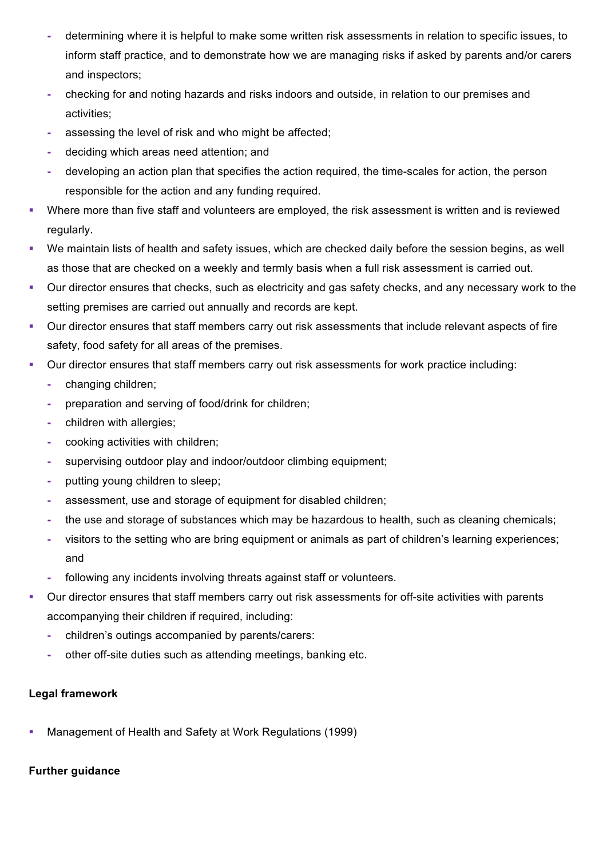- **-** determining where it is helpful to make some written risk assessments in relation to specific issues, to inform staff practice, and to demonstrate how we are managing risks if asked by parents and/or carers and inspectors;
- **-** checking for and noting hazards and risks indoors and outside, in relation to our premises and activities;
- **-** assessing the level of risk and who might be affected;
- **-** deciding which areas need attention; and
- **-** developing an action plan that specifies the action required, the time-scales for action, the person responsible for the action and any funding required.
- Where more than five staff and volunteers are employed, the risk assessment is written and is reviewed regularly.
- We maintain lists of health and safety issues, which are checked daily before the session begins, as well as those that are checked on a weekly and termly basis when a full risk assessment is carried out.
- Our director ensures that checks, such as electricity and gas safety checks, and any necessary work to the setting premises are carried out annually and records are kept.
- Our director ensures that staff members carry out risk assessments that include relevant aspects of fire safety, food safety for all areas of the premises.
- § Our director ensures that staff members carry out risk assessments for work practice including:
	- **-** changing children;
	- **-** preparation and serving of food/drink for children;
	- **-** children with allergies;
	- **-** cooking activities with children;
	- **-** supervising outdoor play and indoor/outdoor climbing equipment;
	- **-** putting young children to sleep;
	- **-** assessment, use and storage of equipment for disabled children;
	- **-** the use and storage of substances which may be hazardous to health, such as cleaning chemicals;
	- **-** visitors to the setting who are bring equipment or animals as part of children's learning experiences; and
	- **-** following any incidents involving threats against staff or volunteers.
- Our director ensures that staff members carry out risk assessments for off-site activities with parents accompanying their children if required, including:
	- **-** children's outings accompanied by parents/carers:
	- **-** other off-site duties such as attending meetings, banking etc.

## **Legal framework**

§ Management of Health and Safety at Work Regulations (1999)

## **Further guidance**